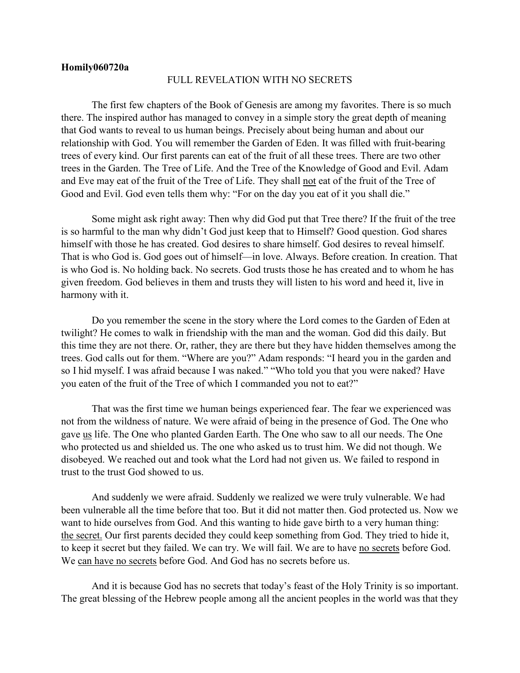## **Homily060720a**

## FULL REVELATION WITH NO SECRETS

The first few chapters of the Book of Genesis are among my favorites. There is so much there. The inspired author has managed to convey in a simple story the great depth of meaning that God wants to reveal to us human beings. Precisely about being human and about our relationship with God. You will remember the Garden of Eden. It was filled with fruit-bearing trees of every kind. Our first parents can eat of the fruit of all these trees. There are two other trees in the Garden. The Tree of Life. And the Tree of the Knowledge of Good and Evil. Adam and Eve may eat of the fruit of the Tree of Life. They shall not eat of the fruit of the Tree of Good and Evil. God even tells them why: "For on the day you eat of it you shall die."

Some might ask right away: Then why did God put that Tree there? If the fruit of the tree is so harmful to the man why didn't God just keep that to Himself? Good question. God shares himself with those he has created. God desires to share himself. God desires to reveal himself. That is who God is. God goes out of himself—in love. Always. Before creation. In creation. That is who God is. No holding back. No secrets. God trusts those he has created and to whom he has given freedom. God believes in them and trusts they will listen to his word and heed it, live in harmony with it.

Do you remember the scene in the story where the Lord comes to the Garden of Eden at twilight? He comes to walk in friendship with the man and the woman. God did this daily. But this time they are not there. Or, rather, they are there but they have hidden themselves among the trees. God calls out for them. "Where are you?" Adam responds: "I heard you in the garden and so I hid myself. I was afraid because I was naked." "Who told you that you were naked? Have you eaten of the fruit of the Tree of which I commanded you not to eat?"

That was the first time we human beings experienced fear. The fear we experienced was not from the wildness of nature. We were afraid of being in the presence of God. The One who gave us life. The One who planted Garden Earth. The One who saw to all our needs. The One who protected us and shielded us. The one who asked us to trust him. We did not though. We disobeyed. We reached out and took what the Lord had not given us. We failed to respond in trust to the trust God showed to us.

And suddenly we were afraid. Suddenly we realized we were truly vulnerable. We had been vulnerable all the time before that too. But it did not matter then. God protected us. Now we want to hide ourselves from God. And this wanting to hide gave birth to a very human thing: the secret. Our first parents decided they could keep something from God. They tried to hide it, to keep it secret but they failed. We can try. We will fail. We are to have no secrets before God. We can have no secrets before God. And God has no secrets before us.

And it is because God has no secrets that today's feast of the Holy Trinity is so important. The great blessing of the Hebrew people among all the ancient peoples in the world was that they